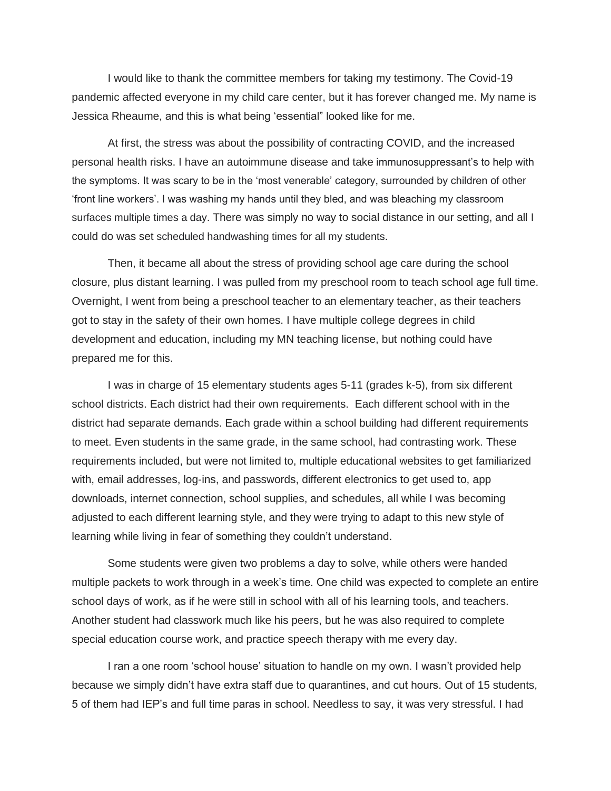I would like to thank the committee members for taking my testimony. The Covid-19 pandemic affected everyone in my child care center, but it has forever changed me. My name is Jessica Rheaume, and this is what being 'essential" looked like for me.

At first, the stress was about the possibility of contracting COVID, and the increased personal health risks. I have an autoimmune disease and take immunosuppressant's to help with the symptoms. It was scary to be in the 'most venerable' category, surrounded by children of other 'front line workers'. I was washing my hands until they bled, and was bleaching my classroom surfaces multiple times a day. There was simply no way to social distance in our setting, and all I could do was set scheduled handwashing times for all my students.

Then, it became all about the stress of providing school age care during the school closure, plus distant learning. I was pulled from my preschool room to teach school age full time. Overnight, I went from being a preschool teacher to an elementary teacher, as their teachers got to stay in the safety of their own homes. I have multiple college degrees in child development and education, including my MN teaching license, but nothing could have prepared me for this.

I was in charge of 15 elementary students ages 5-11 (grades k-5), from six different school districts. Each district had their own requirements. Each different school with in the district had separate demands. Each grade within a school building had different requirements to meet. Even students in the same grade, in the same school, had contrasting work. These requirements included, but were not limited to, multiple educational websites to get familiarized with, email addresses, log-ins, and passwords, different electronics to get used to, app downloads, internet connection, school supplies, and schedules, all while I was becoming adjusted to each different learning style, and they were trying to adapt to this new style of learning while living in fear of something they couldn't understand.

Some students were given two problems a day to solve, while others were handed multiple packets to work through in a week's time. One child was expected to complete an entire school days of work, as if he were still in school with all of his learning tools, and teachers. Another student had classwork much like his peers, but he was also required to complete special education course work, and practice speech therapy with me every day.

I ran a one room 'school house' situation to handle on my own. I wasn't provided help because we simply didn't have extra staff due to quarantines, and cut hours. Out of 15 students, 5 of them had IEP's and full time paras in school. Needless to say, it was very stressful. I had